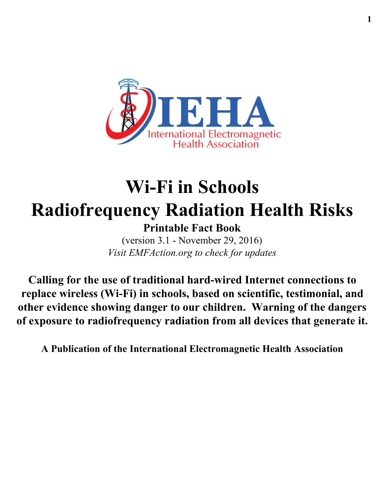

# **Wi-Fi in Schools Radiofrequency Radiation Health Risks**

**Printable Fact Book** (version 3.1 - November 29, 2016) *Visit EMFAction.org to check for updates*

**Calling for the use of traditional hard-wired Internet connections to replace wireless (Wi-Fi) in schools, based on scientific, testimonial, and other evidence showing danger to our children. Warning of the dangers of exposure to radiofrequency radiation from all devices that generate it.**

**A Publication of the International Electromagnetic Health Association**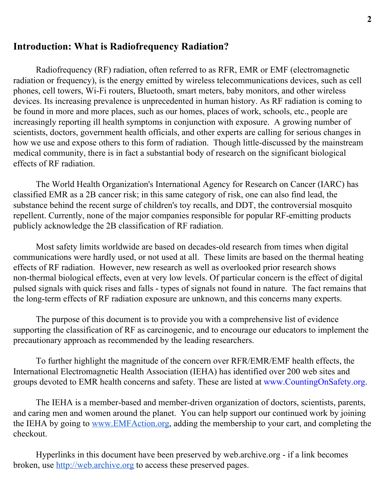#### **Introduction: What is Radiofrequency Radiation?**

Radiofrequency (RF) radiation, often referred to as RFR, EMR or EMF (electromagnetic radiation or frequency), is the energy emitted by wireless telecommunications devices, such as cell phones, cell towers, Wi-Fi routers, Bluetooth, smart meters, baby monitors, and other wireless devices. Its increasing prevalence is unprecedented in human history. As RF radiation is coming to be found in more and more places, such as our homes, places of work, schools, etc., people are increasingly reporting ill health symptoms in conjunction with exposure. A growing number of scientists, doctors, government health officials, and other experts are calling for serious changes in how we use and expose others to this form of radiation. Though little-discussed by the mainstream medical community, there is in fact a substantial body of research on the significant biological effects of RF radiation.

The World Health Organization's International Agency for Research on Cancer (IARC) has classified EMR as a 2B cancer risk; in this same category of risk, one can also find lead, the substance behind the recent surge of children's toy recalls, and DDT, the controversial mosquito repellent. Currently, none of the major companies responsible for popular RF-emitting products publicly acknowledge the 2B classification of RF radiation.

Most safety limits worldwide are based on decades-old research from times when digital communications were hardly used, or not used at all. These limits are based on the thermal heating effects of RF radiation. However, new research as well as overlooked prior research shows non-thermal biological effects, even at very low levels. Of particular concern is the effect of digital pulsed signals with quick rises and falls - types of signals not found in nature. The fact remains that the long-term effects of RF radiation exposure are unknown, and this concerns many experts.

The purpose of this document is to provide you with a comprehensive list of evidence supporting the classification of RF as carcinogenic, and to encourage our educators to implement the precautionary approach as recommended by the leading researchers.

To further highlight the magnitude of the concern over RFR/EMR/EMF health effects, the International Electromagnetic Health Association (IEHA) has identified over 200 web sites and groups devoted to EMR health concerns and safety. These are listed at www.CountingOnSafety.org.

The IEHA is a member-based and member-driven organization of doctors, scientists, parents, and caring men and women around the planet. You can help support our continued work by joining the IEHA by going to [www.EMFAction.org,](http://www.emfaction.org/) adding the membership to your cart, and completing the checkout.

Hyperlinks in this document have been preserved by web.archive.org - if a link becomes broken, use [http://web.archive.org](http://web.archive.org/) to access these preserved pages.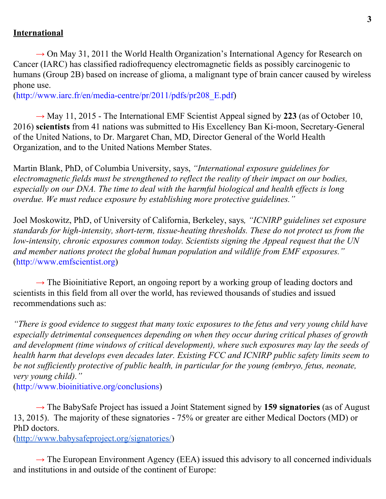#### **International**

 $\rightarrow$  On May 31, 2011 the World Health Organization's International Agency for Research on Cancer (IARC) has classified radiofrequency electromagnetic fields as possibly carcinogenic to humans (Group 2B) based on increase of glioma, a malignant type of brain cancer caused by wireless phone use.

(http://www.iarc.fr/en/media-centre/pr/2011/pdfs/pr208\_E.pdf)

 $\rightarrow$  May 11, 2015 - The International EMF Scientist Appeal signed by 223 (as of October 10, 2016) **scientists** from 41 nations was submitted to His Excellency Ban Ki-moon, Secretary-General of the United Nations, to Dr. Margaret Chan, MD, Director General of the World Health Organization, and to the United Nations Member States.

Martin Blank, PhD, of Columbia University, says, *"International exposure guidelines for electromagnetic fields must be strengthened to reflect the reality of their impact on our bodies, especially on our DNA. The time to deal with the harmful biological and health effects is long overdue. We must reduce exposure by establishing more protective guidelines."*

Joel Moskowitz, PhD, of University of California, Berkeley, says*, "ICNIRP guidelines set exposure standards for high-intensity, short-term, tissue-heating thresholds. These do not protect us from the low-intensity, chronic exposures common today. Scientists signing the Appeal request that the UN and member nations protect the global human population and wildlife from EMF exposures."* (http://www.emfscientist.org)

 $\rightarrow$  The Bioinitiative Report, an ongoing report by a working group of leading doctors and scientists in this field from all over the world, has reviewed thousands of studies and issued recommendations such as:

*"There is good evidence to suggest that many toxic exposures to the fetus and very young child have especially detrimental consequences depending on when they occur during critical phases of growth and development (time windows of critical development), where such exposures may lay the seeds of health harm that develops even decades later. Existing FCC and ICNIRP public safety limits seem to be not sufficiently protective of public health, in particular for the young (embryo, fetus, neonate, very young child)."*

(http://www.bioinitiative.org/conclusions)

→ The BabySafe Project has issued a Joint Statement signed by **159 signatories** (as of August 13, 2015). The majority of these signatories - 75% or greater are either Medical Doctors (MD) or PhD doctors.

(<http://www.babysafeproject.org/signatories/>)

 $\rightarrow$  The European Environment Agency (EEA) issued this advisory to all concerned individuals and institutions in and outside of the continent of Europe: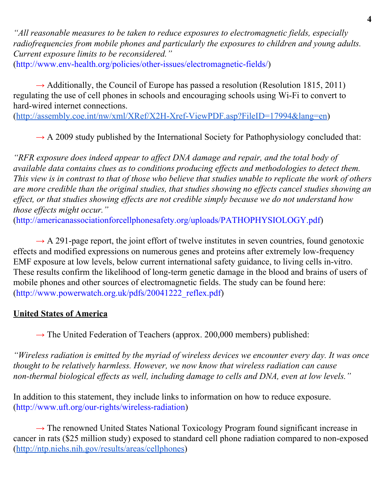*"All reasonable measures to be taken to reduce exposures to electromagnetic fields, especially radiofrequencies from mobile phones and particularly the exposures to children and young adults. Current exposure limits to be reconsidered."* (<http://www.env-health.org/policies/other-issues/electromagnetic-fields/>)

 $\rightarrow$  Additionally, the Council of Europe has passed a resolution (Resolution 1815, 2011) regulating the use of cell phones in schools and encouraging schools using Wi-Fi to convert to hard-wired internet connections.

([http://assembly.coe.int/nw/xml/XRef/X2H-Xref-ViewPDF.asp?FileID=17994&lang=en\)](http://assembly.coe.int/nw/xml/XRef/X2H-Xref-ViewPDF.asp?FileID=17994&lang=en)

 $\rightarrow$  A 2009 study published by the International Society for Pathophysiology concluded that:

*"RFR exposure does indeed appear to affect DNA damage and repair, and the total body of available data contains clues as to conditions producing ef ects and methodologies to detect them. This view is in contrast to that of those who believe that studies unable to replicate the work of others are more credible than the original studies, that studies showing no ef ects cancel studies showing an effect, or that studies showing ef ects are not credible simply because we do not understand how those effects might occur."* ([http://americanassociationforcellphonesafety.org/uploads/PATHOPHYSIOLOGY.pdf\)](http://americanassociationforcellphonesafety.org/uploads/PATHOPHYSIOLOGY.pdf)

 $\rightarrow$  A 291-page report, the joint effort of twelve institutes in seven countries, found genotoxic effects and modified expressions on numerous genes and proteins after extremely low-frequency EMF exposure at low levels, below current international safety guidance, to living cells in-vitro. These results confirm the likelihood of long-term genetic damage in the blood and brains of users of mobile phones and other sources of electromagnetic fields. The study can be found here: (http://www.powerwatch.org.uk/pdfs/20041222\_reflex.pdf)

## **United States of America**

 $\rightarrow$  The United Federation of Teachers (approx. 200,000 members) published:

*"Wireless radiation is emitted by the myriad of wireless devices we encounter every day. It was once thought to be relatively harmless. However, we now know that wireless radiation can cause non-thermal biological effects as well, including damage to cells and DNA, even at low levels."*

In addition to this statement, they include links to information on how to reduce exposure. ([http://www.uft.org/our-rights/wireless-radiation\)](http://www.uft.org/our-rights/wireless-radiation)

 $\rightarrow$  The renowned United States National Toxicology Program found significant increase in cancer in rats (\$25 million study) exposed to standard cell phone radiation compared to non-exposed ([http://ntp.niehs.nih.gov/results/areas/cellphones\)](http://ntp.niehs.nih.gov/results/areas/cellphones)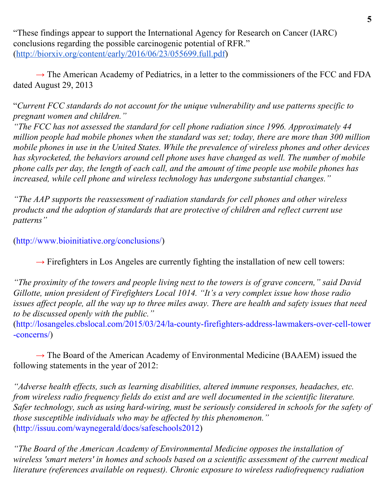"These findings appear to support the International Agency for Research on Cancer (IARC) conclusions regarding the possible carcinogenic potential of RFR." ([http://biorxiv.org/content/early/2016/06/23/055699.full.pdf\)](http://biorxiv.org/content/early/2016/06/23/055699.full.pdf)

 $\rightarrow$  The American Academy of Pediatrics, in a letter to the commissioners of the FCC and FDA dated August 29, 2013

"*Current FCC standards do not account for the unique vulnerability and use patterns specific to pregnant women and children."*

*"The FCC has not assessed the standard for cell phone radiation since 1996. Approximately 44 million people had mobile phones when the standard was set; today, there are more than 300 million mobile phones in use in the United States. While the prevalence of wireless phones and other devices has skyrocketed, the behaviors around cell phone uses have changed as well. The number of mobile phone calls per day, the length of each call, and the amount of time people use mobile phones has increased, while cell phone and wireless technology has undergone substantial changes."*

*"The AAP supports the reassessment of radiation standards for cell phones and other wireless products and the adoption of standards that are protective of children and reflect current use patterns"*

([http://www.bioinitiative.org/conclusions/\)](http://www.bioinitiative.org/conclusions/)

 $\rightarrow$  Firefighters in Los Angeles are currently fighting the installation of new cell towers:

*"The proximity of the towers and people living next to the towers is of grave concern," said David Gillotte, union president of Firefighters Local 1014. "It's a very complex issue how those radio issues affect people, all the way up to three miles away. There are health and safety issues that need to be discussed openly with the public."*

(http://losangeles.cbslocal.com/2015/03/24/la-county-firefighters-address-lawmakers-over-cell-tower -concerns/)

 $\rightarrow$  The Board of the American Academy of Environmental Medicine (BAAEM) issued the following statements in the year of 2012:

*"Adverse health effects, such as learning disabilities, altered immune responses, headaches, etc. from wireless radio frequency fields do exist and are well documented in the scientific literature. Safer technology, such as using hard-wiring, must be seriously considered in schools for the safety of those susceptible individuals who may be affected by this phenomenon."* (http://issuu.com/waynegerald/docs/safeschools2012)

*"The Board of the American Academy of Environmental Medicine opposes the installation of wireless 'smart meters' in homes and schools based on a scientific assessment of the current medical literature (references available on request). Chronic exposure to wireless radiofrequency radiation*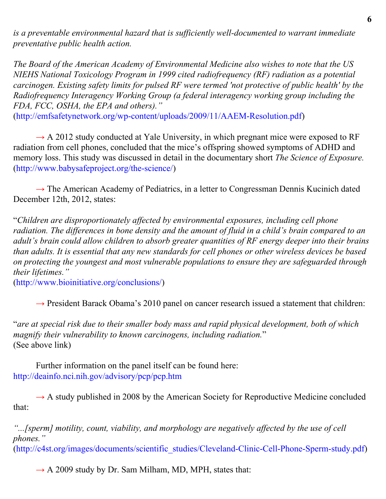*is a preventable environmental hazard that is sufficiently well-documented to warrant immediate preventative public health action.*

*The Board of the American Academy of Environmental Medicine also wishes to note that the US NIEHS National Toxicology Program in 1999 cited radiofrequency (RF) radiation as a potential carcinogen. Existing safety limits for pulsed RF were termed 'not protective of public health' by the Radiofrequency Interagency Working Group (a federal interagency working group including the FDA, FCC, OSHA, the EPA and others)."*

([http://emfsafetynetwork.org/wp-content/uploads/2009/11/AAEM-Resolution.pdf\)](http://emfsafetynetwork.org/wp-content/uploads/2009/11/AAEM-Resolution.pdf)

 $\rightarrow$  A 2012 study conducted at Yale University, in which pregnant mice were exposed to RF radiation from cell phones, concluded that the mice's offspring showed symptoms of ADHD and memory loss. This study was discussed in detail in the documentary short *The Science of Exposure.* (http://www.babysafeproject.org/the-science/)

 $\rightarrow$  The American Academy of Pediatrics, in a letter to Congressman Dennis Kucinich dated December 12th, 2012, states:

"*Children are disproportionately affected by environmental exposures, including cell phone radiation. The differences in bone density and the amount of fluid in a child's brain compared to an adult's brain could allow children to absorb greater quantities of RF energy deeper into their brains than adults. It is essential that any new standards for cell phones or other wireless devices be based on protecting the youngest and most vulnerable populations to ensure they are safeguarded through their lifetimes."*

([http://www.bioinitiative.org/conclusions/\)](http://www.bioinitiative.org/conclusions/)

 $\rightarrow$  President Barack Obama's 2010 panel on cancer research issued a statement that children:

"*are at special risk due to their smaller body mass and rapid physical development, both of which magnify their vulnerability to known carcinogens, including radiation.*" (See above link)

Further information on the panel itself can be found here: <http://deainfo.nci.nih.gov/advisory/pcp/pcp.htm>

 $\rightarrow$  A study published in 2008 by the American Society for Reproductive Medicine concluded that:

*"...[sperm] motility, count, viability, and morphology are negatively affected by the use of cell phones."*

(http://c4st.org/images/documents/scientific\_studies/Cleveland-Clinic-Cell-Phone-Sperm-study.pdf)

 $\rightarrow$  A 2009 study by Dr. Sam Milham, MD, MPH, states that: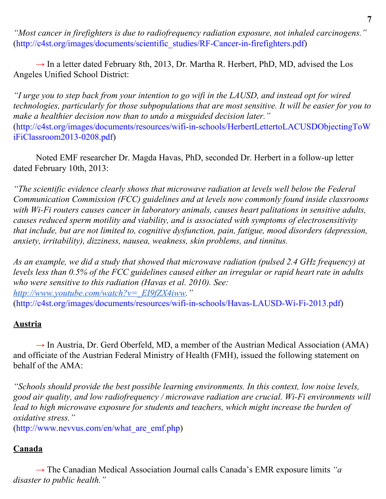*"Most cancer in firefighters is due to radiofrequency radiation exposure, not inhaled carcinogens."* ([http://c4st.org/images/documents/scientific\\_studies/RF-Cancer-in-firefighters.pdf\)](http://c4st.org/images/documents/scientific_studies/RF-Cancer-in-firefighters.pdf)

 $\rightarrow$  In a letter dated February 8th, 2013, Dr. Martha R. Herbert, PhD, MD, advised the Los Angeles Unified School District:

*"I urge you to step back from your intention to go wifi in the LAUSD, and instead opt for wired technologies, particularly for those subpopulations that are most sensitive. It will be easier for you to make a healthier decision now than to undo a misguided decision later."* ([http://c4st.org/images/documents/resources/wifi-in-schools/HerbertLettertoLACUSDObjectingToW](http://c4st.org/images/documents/resources/wifi-in-schools/HerbertLettertoLACUSDObjectingToWiFiClassroom2013-0208.pdf) [iFiClassroom2013-0208.pdf](http://c4st.org/images/documents/resources/wifi-in-schools/HerbertLettertoLACUSDObjectingToWiFiClassroom2013-0208.pdf))

Noted EMF researcher Dr. Magda Havas, PhD, seconded Dr. Herbert in a follow-up letter dated February 10th, 2013:

*"The scientific evidence clearly shows that microwave radiation at levels well below the Federal Communication Commission (FCC) guidelines and at levels now commonly found inside classrooms with Wi-Fi routers causes cancer in laboratory animals, causes heart palitations in sensitive adults, causes reduced sperm motility and viability, and is associated with symptoms of electrosensitivity that include, but are not limited to, cognitive dysfunction, pain, fatigue, mood disorders (depression, anxiety, irritability), dizziness, nausea, weakness, skin problems, and tinnitus.*

*As an example, we did a study that showed that microwave radiation (pulsed 2.4 GHz frequency) at levels less than 0.5% of the FCC guidelines caused either an irregular or rapid heart rate in adults who were sensitive to this radiation (Havas et al. 2010). See: [http://www.youtube.com/watch?v=\\_EI9fZX4iww.](http://www.youtube.com/watch?v=_EI9fZX4iww)"* (http://c4st.org/images/documents/resources/wifi-in-schools/Havas-LAUSD-Wi-Fi-2013.pdf)

#### **Austria**

 $\rightarrow$  In Austria, Dr. Gerd Oberfeld, MD, a member of the Austrian Medical Association (AMA) and officiate of the Austrian Federal Ministry of Health (FMH), issued the following statement on behalf of the AMA:

*"Schools should provide the best possible learning environments. In this context, low noise levels, good air quality, and low radiofrequency / microwave radiation are crucial. Wi-Fi environments will lead to high microwave exposure for students and teachers, which might increase the burden of oxidative stress."*

(http://www.nevvus.com/en/what\_are\_emf.php)

## **Canada**

 $\rightarrow$  The Canadian Medical Association Journal calls Canada's EMR exposure limits "*a disaster to public health."*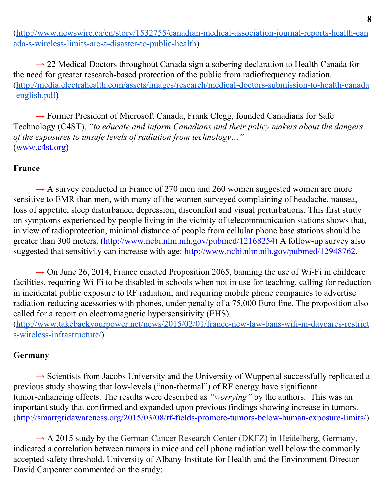([http://www.newswire.ca/en/story/1532755/canadian-medical-association-journal-reports-health-can](http://www.newswire.ca/en/story/1532755/canadian-medical-association-journal-reports-health-canada-s-wireless-limits-are-a-disaster-to-public-health) [ada-s-wireless-limits-are-a-disaster-to-public-health\)](http://www.newswire.ca/en/story/1532755/canadian-medical-association-journal-reports-health-canada-s-wireless-limits-are-a-disaster-to-public-health)

 $\rightarrow$  22 Medical Doctors throughout Canada sign a sobering declaration to Health Canada for the need for greater research-based protection of the public from radiofrequency radiation. ([http://media.electrahealth.com/assets/images/research/medical-doctors-submission-to-health-canada](http://media.electrahealth.com/assets/images/research/medical-doctors-submission-to-health-canada-english.pdf) [-english.pdf\)](http://media.electrahealth.com/assets/images/research/medical-doctors-submission-to-health-canada-english.pdf)

 $\rightarrow$  Former President of Microsoft Canada, Frank Clegg, founded Canadians for Safe Technology (C4ST), *"to educate and inform Canadians and their policy makers about the dangers of the exposures to unsafe levels of radiation from technology…"* ([www.c4st.org](http://www.c4st.org/))

#### **France**

 $\rightarrow$  A survey conducted in France of 270 men and 260 women suggested women are more sensitive to EMR than men, with many of the women surveyed complaining of headache, nausea, loss of appetite, sleep disturbance, depression, discomfort and visual perturbations. This first study on symptoms experienced by people living in the vicinity of telecommunication stations shows that, in view of radioprotection, minimal distance of people from cellular phone base stations should be greater than 300 meters. [\(http://www.ncbi.nlm.nih.gov/pubmed/12168254\)](http://www.ncbi.nlm.nih.gov/pubmed/12168254) A follow-up survey also suggested that sensitivity can increase with age: http://www.ncbi.nlm.nih.gov/pubmed/12948762.

 $\rightarrow$  On June 26, 2014, France enacted Proposition 2065, banning the use of Wi-Fi in childcare facilities, requiring Wi-Fi to be disabled in schools when not in use for teaching, calling for reduction in incidental public exposure to RF radiation, and requiring mobile phone companies to advertise radiation-reducing acessories with phones, under penalty of a 75,000 Euro fine. The proposition also called for a report on electromagnetic hypersensitivity (EHS). ([http://www.takebackyourpower.net/news/2015/02/01/france-new-law-bans-wifi-in-daycares-restrict](http://www.takebackyourpower.net/news/2015/02/01/france-new-law-bans-wifi-in-daycares-restricts-wireless-infrastructure/)

[s-wireless-infrastructure/\)](http://www.takebackyourpower.net/news/2015/02/01/france-new-law-bans-wifi-in-daycares-restricts-wireless-infrastructure/)

## **Germany**

 $\rightarrow$  Scientists from Jacobs University and the University of Wuppertal successfully replicated a previous study showing that low-levels ("non-thermal") of RF energy have significant tumor-enhancing effects. The results were described as *"worrying"* by the authors. This was an important study that confirmed and expanded upon previous findings showing increase in tumors. (http://smartgridawareness.org/2015/03/08/rf-fields-promote-tumors-below-human-exposure-limits/)

 $\rightarrow$  A 2015 study by the German Cancer Research Center (DKFZ) in Heidelberg, Germany, indicated a correlation between tumors in mice and cell phone radiation well below the commonly accepted safety threshold. University of Albany Institute for Health and the Environment Director David Carpenter commented on the study: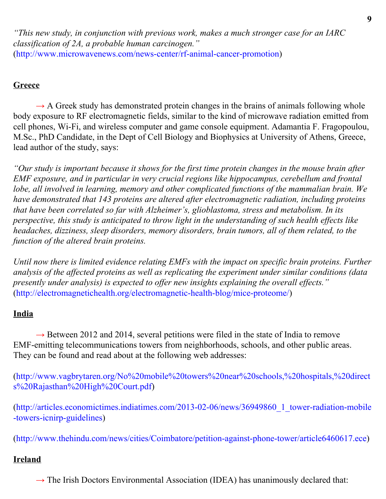*"This new study, in conjunction with previous work, makes a much stronger case for an IARC classification of 2A, a probable human carcinogen."* (http://www.microwavenews.com/news-center/rf-animal-cancer-promotion)

# **Greece**

 $\rightarrow$  A Greek study has demonstrated protein changes in the brains of animals following whole body exposure to RF electromagnetic fields, similar to the kind of microwave radiation emitted from cell phones, Wi-Fi, and wireless computer and game console equipment. Adamantia F. Fragopoulou, M.Sc., PhD Candidate, in the Dept of Cell Biology and Biophysics at University of Athens, Greece, lead author of the study, says:

*"Our study is important because it shows for the first time protein changes in the mouse brain after EMF exposure, and in particular in very crucial regions like hippocampus, cerebellum and frontal lobe, all involved in learning, memory and other complicated functions of the mammalian brain. We have demonstrated that 143 proteins are altered after electromagnetic radiation, including proteins that have been correlated so far with Alzheimer's, glioblastoma, stress and metabolism. In its perspective, this study is anticipated to throw light in the understanding of such health effects like headaches, dizziness, sleep disorders, memory disorders, brain tumors, all of them related, to the function of the altered brain proteins.*

*Until now there is limited evidence relating EMFs with the impact on specific brain proteins. Further analysis of the affected proteins as well as replicating the experiment under similar conditions (data presently under analysis) is expected to offer new insights explaining the overall effects."* ([http://electromagnetichealth.org/electromagnetic-health-blog/mice-proteome/\)](http://electromagnetichealth.org/electromagnetic-health-blog/mice-proteome/)

## **India**

 $\rightarrow$  Between 2012 and 2014, several petitions were filed in the state of India to remove EMF-emitting telecommunications towers from neighborhoods, schools, and other public areas. They can be found and read about at the following web addresses:

([http://www.vagbrytaren.org/No%20mobile%20towers%20near%20schools,%20hospitals,%20direct](http://www.vagbrytaren.org/No%20mobile%20towers%20near%20schools,%20hospitals,%20directs%20Rajasthan%20High%20Court.pdf) [s%20Rajasthan%20High%20Court.pdf\)](http://www.vagbrytaren.org/No%20mobile%20towers%20near%20schools,%20hospitals,%20directs%20Rajasthan%20High%20Court.pdf)

([http://articles.economictimes.indiatimes.com/2013-02-06/news/36949860\\_1\\_tower-radiation-mobile](http://articles.economictimes.indiatimes.com/2013-02-06/news/36949860_1_tower-radiation-mobile-towers-icnirp-guidelines) [-towers-icnirp-guidelines\)](http://articles.economictimes.indiatimes.com/2013-02-06/news/36949860_1_tower-radiation-mobile-towers-icnirp-guidelines)

([http://www.thehindu.com/news/cities/Coimbatore/petition-against-phone-tower/article6460617.ece\)](http://www.thehindu.com/news/cities/Coimbatore/petition-against-phone-tower/article6460617.ece)

## **Ireland**

 $\rightarrow$  The Irish Doctors Environmental Association (IDEA) has unanimously declared that: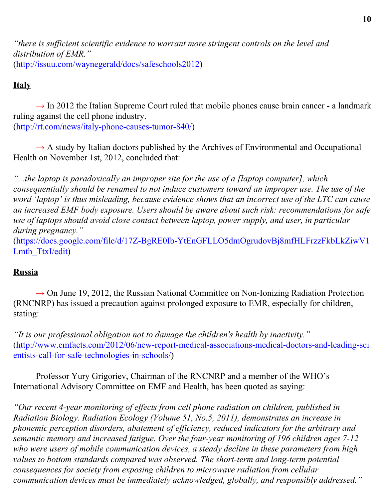*"there is sufficient scientific evidence to warrant more stringent controls on the level and distribution of EMR."* (http://issuu.com/waynegerald/docs/safeschools2012)

# **Italy**

 $\rightarrow$  In 2012 the Italian Supreme Court ruled that mobile phones cause brain cancer - a landmark ruling against the cell phone industry. ([http://rt.com/news/italy-phone-causes-tumor-840/\)](http://rt.com/news/italy-phone-causes-tumor-840/)

 $\rightarrow$  A study by Italian doctors published by the Archives of Environmental and Occupational Health on November 1st, 2012, concluded that:

*"...the laptop is paradoxically an improper site for the use of a [laptop computer], which consequentially should be renamed to not induce customers toward an improper use. The use of the word 'laptop' is thus misleading, because evidence shows that an incorrect use of the LTC can cause an increased EMF body exposure. Users should be aware about such risk: recommendations for safe use of laptops should avoid close contact between laptop, power supply, and user, in particular during pregnancy."*

([https://docs.google.com/file/d/17Z-BgRE0Ib-YtEnGFLLO5dmOgrudovBj8mfHLFrzzFkbLkZiwV1](https://docs.google.com/file/d/17Z-BgRE0Ib-YtEnGFLLO5dmOgrudovBj8mfHLFrzzFkbLkZiwV1Lmth_TtxI/edit) Lmth TtxI/edit)

## **Russia**

 $\rightarrow$  On June 19, 2012, the Russian National Committee on Non-Ionizing Radiation Protection (RNCNRP) has issued a precaution against prolonged exposure to EMR, especially for children, stating:

*"It is our professional obligation not to damage the children's health by inactivity."* ([http://www.emfacts.com/2012/06/new-report-medical-associations-medical-doctors-and-leading-sci](http://www.emfacts.com/2012/06/new-report-medical-associations-medical-doctors-and-leading-scientists-call-for-safe-technologies-in-schools/) [entists-call-for-safe-technologies-in-schools/\)](http://www.emfacts.com/2012/06/new-report-medical-associations-medical-doctors-and-leading-scientists-call-for-safe-technologies-in-schools/)

Professor Yury Grigoriev, Chairman of the RNCNRP and a member of the WHO's International Advisory Committee on EMF and Health, has been quoted as saying:

*"Our recent 4-year monitoring of ef ects from cell phone radiation on children, published in Radiation Biology. Radiation Ecology (Volume 51, No.5, 2011), demonstrates an increase in phonemic perception disorders, abatement of efficiency, reduced indicators for the arbitrary and semantic memory and increased fatigue. Over the four-year monitoring of 196 children ages 7-12 who were users of mobile communication devices, a steady decline in these parameters from high values to bottom standards compared was observed. The short-term and long-term potential consequences for society from exposing children to microwave radiation from cellular communication devices must be immediately acknowledged, globally, and responsibly addressed."*